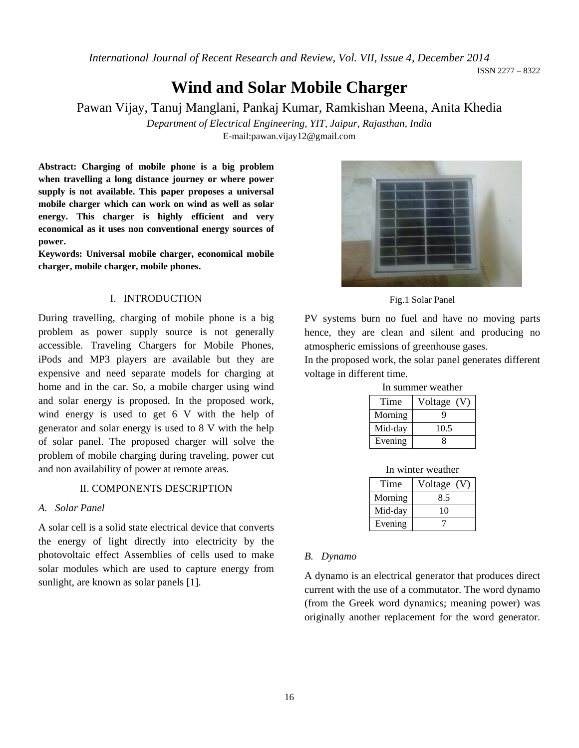*International Journal of Recent Research and Review, Vol. VII, Issue 4, December 2014* 

ISSN 2277 – 8322

# **Wind and Solar Mobile Charger**

Pawan Vijay, Tanuj Manglani, Pankaj Kumar, Ramkishan Meena, Anita Khedia

*Department of Electrical Engineering, YIT, Jaipur, Rajasthan, India* 

E-mail:pawan.vijay12@gmail.com

**Abstract: Charging of mobile phone is a big problem when travelling a long distance journey or where power supply is not available. This paper proposes a universal mobile charger which can work on wind as well as solar energy. This charger is highly efficient and very economical as it uses non conventional energy sources of power.** 

**Keywords: Universal mobile charger, economical mobile charger, mobile charger, mobile phones.** 

#### I. INTRODUCTION

During travelling, charging of mobile phone is a big problem as power supply source is not generally accessible. Traveling Chargers for Mobile Phones, iPods and MP3 players are available but they are expensive and need separate models for charging at home and in the car. So, a mobile charger using wind and solar energy is proposed. In the proposed work, wind energy is used to get 6 V with the help of generator and solar energy is used to 8 V with the help of solar panel. The proposed charger will solve the problem of mobile charging during traveling, power cut and non availability of power at remote areas.

## II. COMPONENTS DESCRIPTION

## *A. Solar Panel*

A solar cell is a solid state electrical device that converts the energy of light directly into electricity by the photovoltaic effect Assemblies of cells used to make solar modules which are used to capture energy from sunlight, are known as solar panels [1].



Fig.1 Solar Panel

PV systems burn no fuel and have no moving parts hence, they are clean and silent and producing no atmospheric emissions of greenhouse gases.

In the proposed work, the solar panel generates different voltage in different time.

| In summer weather |             |  |  |  |
|-------------------|-------------|--|--|--|
| Time              | Voltage (V) |  |  |  |
| Morning           |             |  |  |  |
| Mid-day           | 10.5        |  |  |  |
| Evening           |             |  |  |  |

| In winter weather |  |
|-------------------|--|
|-------------------|--|

| Time    | Voltage (V) |
|---------|-------------|
| Morning | 8.5         |
| Mid-day | 10          |
| Evening |             |

#### *B. Dynamo*

A dynamo is an electrical generator that produces direct current with the use of a commutator. The word dynamo (from the Greek word dynamics; meaning power) was originally another replacement for the word generator.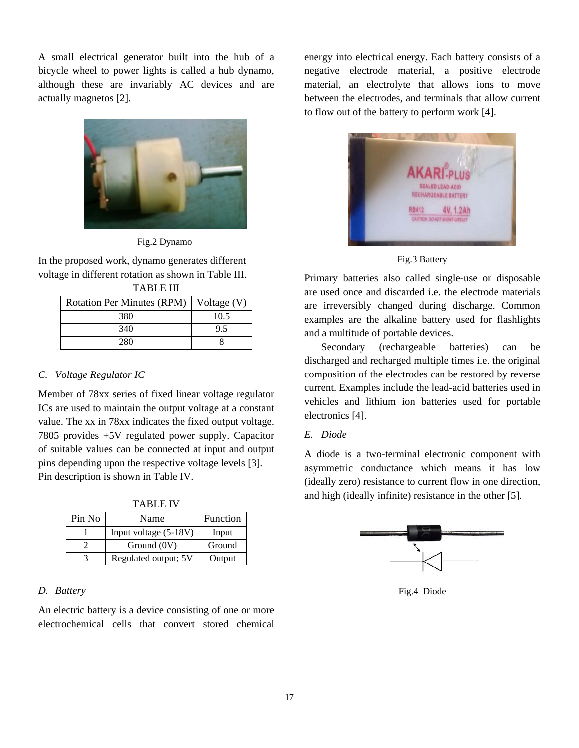A small electrical generator built into the hub of a bicycle wheel to power lights is called a hub dynamo, although these are invariably AC devices and are actually magnetos [2].



Fig.2 Dynamo

In the proposed work, dynamo generates different voltage in different rotation as shown in Table III.

| TABLE III                         |               |  |  |  |  |
|-----------------------------------|---------------|--|--|--|--|
| <b>Rotation Per Minutes (RPM)</b> | Voltage $(V)$ |  |  |  |  |
| 380                               | 10.5          |  |  |  |  |
| 340                               | 9.5           |  |  |  |  |
| 280                               |               |  |  |  |  |

## *C. Voltage Regulator IC*

Member of 78xx series of fixed linear voltage regulator ICs are used to maintain the output voltage at a constant value. The xx in 78xx indicates the fixed output voltage. 7805 provides +5V regulated power supply. Capacitor of suitable values can be connected at input and output pins depending upon the respective voltage levels [3]. Pin description is shown in Table IV.

| <b>TABLE IV</b> |                       |          |  |  |  |  |
|-----------------|-----------------------|----------|--|--|--|--|
| Pin No          | Name                  | Function |  |  |  |  |
|                 | Input voltage (5-18V) | Input    |  |  |  |  |
|                 | Ground (0V)           | Ground   |  |  |  |  |
|                 | Regulated output; 5V  | Output   |  |  |  |  |

## *D. Battery*

An electric battery is a device consisting of one or more electrochemical cells that convert stored chemical energy into electrical energy. Each battery consists of a negative electrode material, a positive electrode material, an electrolyte that allows ions to move between the electrodes, and terminals that allow current to flow out of the battery to perform work [4].



Fig.3 Battery

Primary batteries also called single-use or disposable are used once and discarded i.e. the electrode materials are irreversibly changed during discharge. Common examples are the alkaline battery used for flashlights and a multitude of portable devices.

Secondary (rechargeable batteries) can be discharged and recharged multiple times i.e. the original composition of the electrodes can be restored by reverse current. Examples include the lead-acid batteries used in vehicles and lithium ion batteries used for portable electronics [4].

## *E. Diode*

A diode is a two-terminal electronic component with asymmetric conductance which means it has low (ideally zero) resistance to current flow in one direction, and high (ideally infinite) resistance in the other [5].



Fig.4 Diode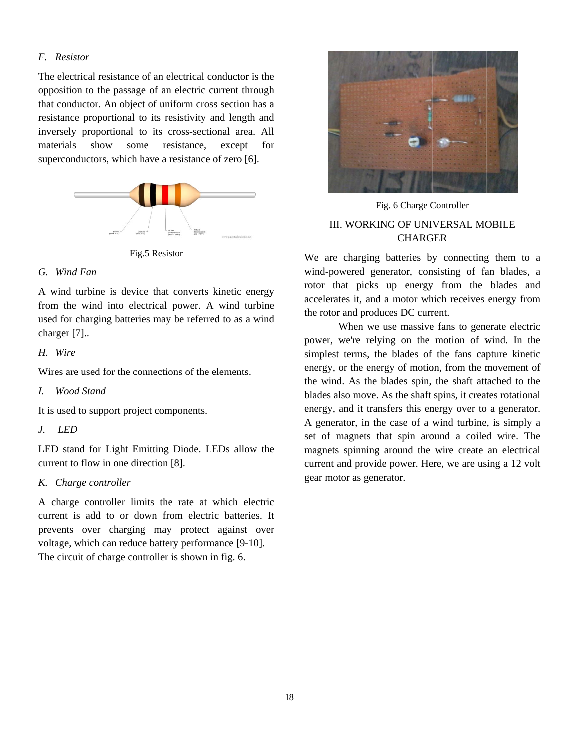## *F. Resistor*

The electrical resistance of an electrical conductor is the opposition to the passage of an electric current through that conductor. An object of uniform cross section has a resistance proportional to its resistivity and length and inversely proportional to its cross-sectional area. Al mat erials show superconductors, which have a resistance of zero [6]. show some resistance, except eh<br>had<br>ll for



Fig.5 Re sistor

#### *G. Wind Fan*

A wind turbine is device that converts kinetic energy from the wind into electrical power. A wind turbine used for charging batteries may be referred to as a wind charger [7].. yeder<br>decident<br>ic

#### *H. Wire*

Wires are used for the connections of the elements.

*I. Wood Stand* 

It is used to support project components.

*J. LED* 

LED stand for Light Emitting Diode. LEDs allow the current to flow in one direction [8].

#### *K.* Charge controller

A charge controller limits the rate at which electric current is add to or down from electric batteries. I prevents over charging may protect against over voltage, which can reduce battery performance [9-10]. The circuit of charge controller is shown in fig. 6.



F Fig. 6 Charge C Controller III. WORKING OF UNIVERSAL MOBILE CHARG GER

We are charging batteries by connecting them to a wind-powered generator, consisting of fan blades, a rotor that picks up energy from the blades and accel lerates it, and d a motor wh hich receives energy from the rotor and produces DC current.

power, we're relying on the motion of wind. In the simplest terms, the blades of the fans capture kinetic energy, or the energy of motion, from the movement of the wind. As the blades spin, the shaft attached to the blades also move. As the shaft spins, it creates rotational energy, and it transfers this energy over to a generator. A ge enerator, in th he case of a wind turbine , is simply a set of magnets that spin around a coiled wire. The magnets spinning around the wire create an electrical current and provide power. Here, we are using a 12 volt gear motor as generator. When we use massive fans to generate electric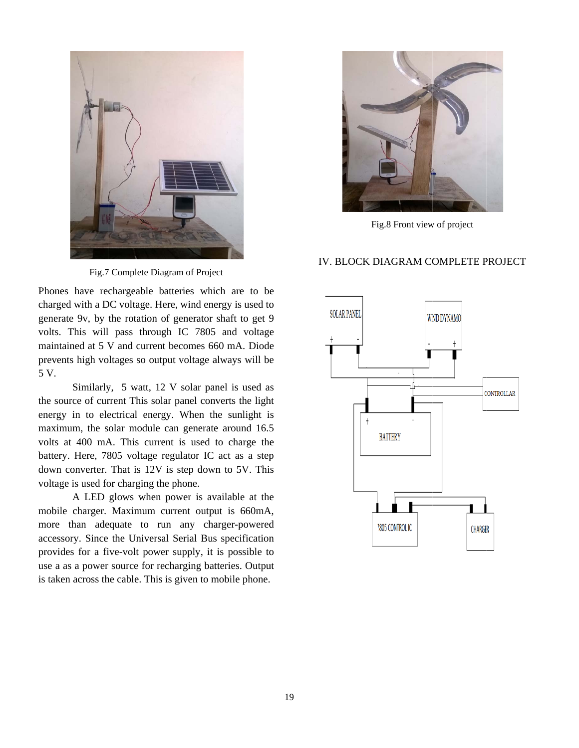

Fig.7 Complete Diagram of Project

Phones have rechargeable batteries which are to be charged with a DC voltage. Here, wind energy is used to generate 9v, by the rotation of generator shaft to get 9 volts. This will pass through IC 7805 and voltage maintained at 5 V and current becomes 660 mA. Diode prevents high voltages so output voltage always will be 5 V . eogeeees

the source of current This solar panel converts the light energy in to electrical energy. When the sunlight is maximum, the solar module can generate around 16.5 volts at 400 mA. This current is used to charge the battery. Here, 7805 voltage regulator IC act as a step down converter. That is 12V is step down to 5V. Thi voltage is used for charging the phone. Similarly, 5 watt, 12 V solar panel is used a 5e<br>epis

mobile charger. Maximum current output is 660mA more than adequate to run any charger-powered accessory. Since the Universal Serial Bus specification provides for a five-volt power supply, it is possible to use a as a power source for recharging batteries. Outpu is taken across the cable. This is given to mobile phone. A LED glows when power is available at the charger. Maximum current output is 660mA, ed<br>on<br>to<br>ut



Fig.8 Front view of project

#### IV. BLOCK DIAGRAM COMPLETE PROJECT

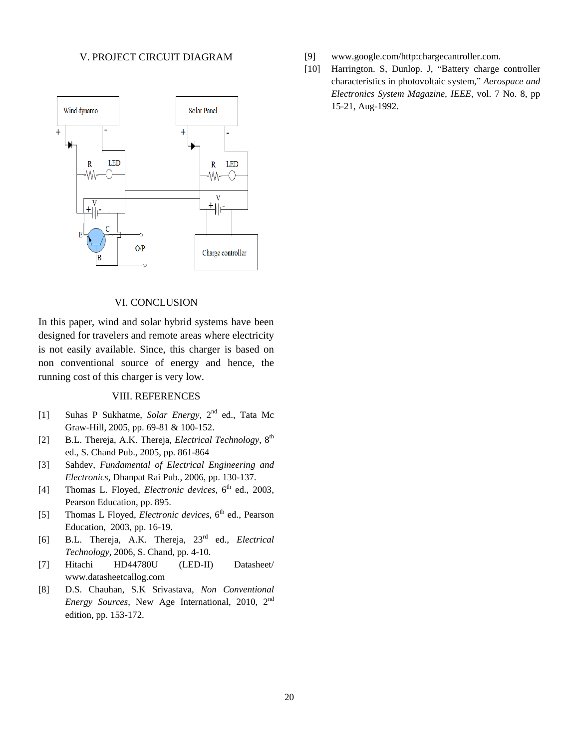#### V. PROJECT CIRCUIT DIAGRAM



## VI. CONCLUSION

In this paper, wind and solar hybrid systems have been designed for travelers and remote areas where electricity is not easily available. Since, this charger is based on non conventional source of energy and hence, the running cost of this charger is very low.

#### VIII. REFERENCES

- [1] Suhas P Sukhatme, *Solar Energy,* 2nd ed., Tata Mc Graw-Hill, 2005, pp. 69-81 & 100-152.
- [2] B.L. Thereja, A.K. Thereja, *Electrical Technology*,  $8<sup>th</sup>$ ed., S. Chand Pub., 2005, pp. 861-864
- [3] Sahdev, *Fundamental of Electrical Engineering and Electronics*, Dhanpat Rai Pub., 2006, pp. 130-137.
- [4] Thomas L. Floyed, *Electronic devices*, 6<sup>th</sup> ed., 2003, Pearson Education, pp. 895.
- [5] Thomas L Floyed, *Electronic devices*, 6<sup>th</sup> ed., Pearson Education, 2003, pp. 16-19.
- [6] B.L. Thereja, A.K. Thereja, 23rd ed., *Electrical Technology,* 2006, S. Chand, pp. 4-10.
- [7] Hitachi HD44780U (LED-II) Datasheet/ www.datasheetcallog.com
- [8] D.S. Chauhan, S.K Srivastava, *Non Conventional Energy Sources*, New Age International, 2010, 2nd edition, pp. 153-172.
- [9] www.google.com/http:chargecantroller.com.
- [10] Harrington. S, Dunlop. J, "Battery charge controller characteristics in photovoltaic system," *Aerospace and Electronics System Magazine, IEEE,* vol. 7 No. 8, pp 15-21, Aug-1992.